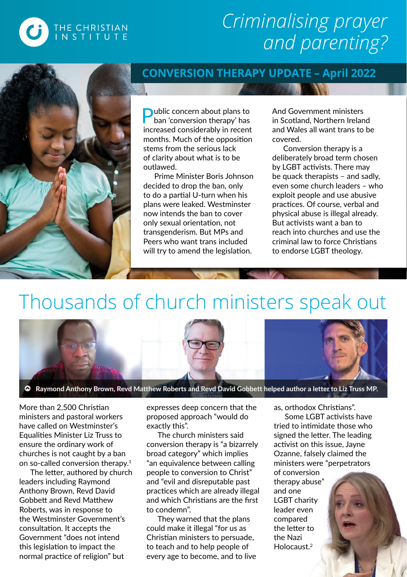## *Criminalising prayer and parenting?*



THE CHRISTIAN<br>INSTITUTE

#### **CONVERSION THERAPY UPDATE – April 2022**

**Public concern about plans to** ban 'conversion therapy' has increased considerably in recent months. Much of the opposition stems from the serious lack of clarity about what is to be outlawed.

Prime Minister Boris Johnson decided to drop the ban, only to do a partial U-turn when his plans were leaked. Westminster now intends the ban to cover only sexual orientation, not transgenderism. But MPs and Peers who want trans included will try to amend the legislation.

And Government ministers in Scotland, Northern Ireland and Wales all want trans to be covered.

Conversion therapy is a deliberately broad term chosen by LGBT activists. There may be quack therapists – and sadly, even some church leaders – who exploit people and use abusive practices. Of course, verbal and physical abuse is illegal already. But activists want a ban to reach into churches and use the criminal law to force Christians to endorse LGBT theology.

# Thousands of church ministers speak out



Raymond Anthony Brown, Revd Matthew Roberts and Revd David Gobbett helped author a letter to Liz Truss MP.

More than 2,500 Christian ministers and pastoral workers have called on Westminster's Equalities Minister Liz Truss to ensure the ordinary work of churches is not caught by a ban on so-called conversion therapy.1

The letter, authored by church leaders including Raymond Anthony Brown, Revd David Gobbett and Revd Matthew Roberts, was in response to the Westminster Government's consultation. It accepts the Government "does not intend this legislation to impact the normal practice of religion" but

expresses deep concern that the proposed approach "would do exactly this".

The church ministers said conversion therapy is "a bizarrely broad category" which implies "an equivalence between calling people to conversion to Christ" and "evil and disreputable past practices which are already illegal and which Christians are the first to condemn".

They warned that the plans could make it illegal "for us as Christian ministers to persuade, to teach and to help people of every age to become, and to live as, orthodox Christians".

Some LGBT activists have tried to intimidate those who signed the letter. The leading activist on this issue, Jayne Ozanne, falsely claimed the ministers were "perpetrators

of conversion therapy abuse" and one LGBT charity leader even compared the letter to the Nazi Holocaust<sup>2</sup>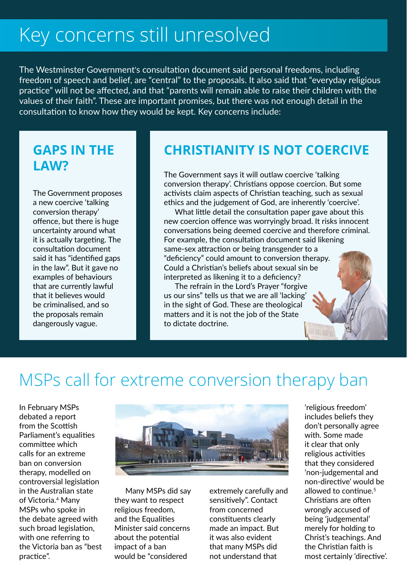# Key concerns still unresolved

The Westminster Government's consultation document said personal freedoms, including freedom of speech and belief, are "central" to the proposals. It also said that "everyday religious practice" will not be affected, and that "parents will remain able to raise their children with the values of their faith". These are important promises, but there was not enough detail in the consultation to know how they would be kept. Key concerns include:

### **GAPS IN THE LAW?**

The Government proposes a new coercive 'talking conversion therapy' offence, but there is huge uncertainty around what it is actually targeting. The consultation document said it has "identified gaps in the law". But it gave no examples of behaviours that are currently lawful that it believes would be criminalised, and so the proposals remain dangerously vague.

### **CHRISTIANITY IS NOT COERCIVE**

The Government says it will outlaw coercive 'talking conversion therapy'. Christians oppose coercion. But some activists claim aspects of Christian teaching, such as sexual ethics and the judgement of God, are inherently 'coercive'.

What little detail the consultation paper gave about this new coercion offence was worryingly broad. It risks innocent conversations being deemed coercive and therefore criminal. For example, the consultation document said likening same-sex attraction or being transgender to a "deficiency" could amount to conversion therapy. Could a Christian's beliefs about sexual sin be interpreted as likening it to a deficiency?

The refrain in the Lord's Prayer "forgive us our sins" tells us that we are all 'lacking' in the sight of God. These are theological matters and it is not the job of the State to dictate doctrine.

## MSPs call for extreme conversion therapy ban

In February MSPs debated a report from the Scottish Parliament's equalities committee which calls for an extreme ban on conversion therapy, modelled on controversial legislation in the Australian state of Victoria.<sup>4</sup> Many MSPs who spoke in the debate agreed with such broad legislation, with one referring to the Victoria ban as "best practice".



Many MSPs did say they want to respect religious freedom, and the Equalities Minister said concerns about the potential impact of a ban would be "considered

extremely carefully and sensitively". Contact from concerned constituents clearly made an impact. But it was also evident that many MSPs did not understand that

'religious freedom' includes beliefs they don't personally agree with. Some made it clear that only religious activities that they considered 'non-judgemental and non-directive' would be allowed to continue.<sup>5</sup> Christians are often wrongly accused of being 'judgemental' merely for holding to Christ's teachings. And the Christian faith is most certainly 'directive'.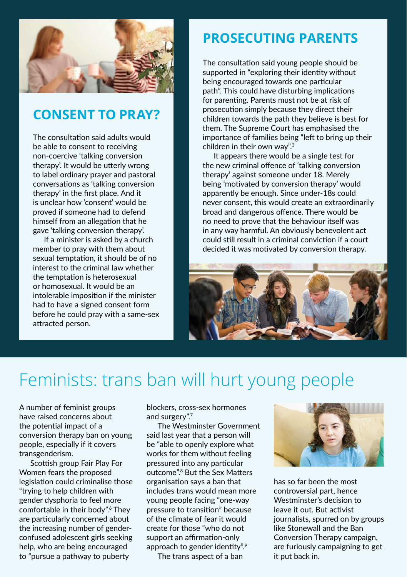

### **CONSENT TO PRAY?**

The consultation said adults would be able to consent to receiving non-coercive 'talking conversion therapy'. It would be utterly wrong to label ordinary prayer and pastoral conversations as 'talking conversion therapy' in the first place. And it is unclear how 'consent' would be proved if someone had to defend himself from an allegation that he gave 'talking conversion therapy'.

If a minister is asked by a church member to pray with them about sexual temptation, it should be of no interest to the criminal law whether the temptation is heterosexual or homosexual. It would be an intolerable imposition if the minister had to have a signed consent form before he could pray with a same-sex attracted person.

### **PROSECUTING PARENTS**

The consultation said young people should be supported in "exploring their identity without being encouraged towards one particular path". This could have disturbing implications for parenting. Parents must not be at risk of prosecution simply because they direct their children towards the path they believe is best for them. The Supreme Court has emphasised the importance of families being "left to bring up their children in their own way".3

It appears there would be a single test for the new criminal offence of 'talking conversion therapy' against someone under 18. Merely being 'motivated by conversion therapy' would apparently be enough. Since under-18s could never consent, this would create an extraordinarily broad and dangerous offence. There would be no need to prove that the behaviour itself was in any way harmful. An obviously benevolent act could still result in a criminal conviction if a court decided it was motivated by conversion therapy.



## Feminists: trans ban will hurt young people

A number of feminist groups have raised concerns about the potential impact of a conversion therapy ban on young people, especially if it covers transgenderism.

Scottish group Fair Play For Women fears the proposed legislation could criminalise those "trying to help children with gender dysphoria to feel more comfortable in their body".6 They are particularly concerned about the increasing number of genderconfused adolescent girls seeking help, who are being encouraged to "pursue a pathway to puberty

blockers, cross-sex hormones and surgery".<sup>7</sup>

The Westminster Government said last year that a person will be "able to openly explore what works for them without feeling pressured into any particular outcome".8 But the Sex Matters organisation says a ban that includes trans would mean more young people facing "one-way pressure to transition" because of the climate of fear it would create for those "who do not support an affirmation-only approach to gender identity".9

The trans aspect of a ban



has so far been the most controversial part, hence Westminster's decision to leave it out. But activist journalists, spurred on by groups like Stonewall and the Ban Conversion Therapy campaign, are furiously campaigning to get it put back in.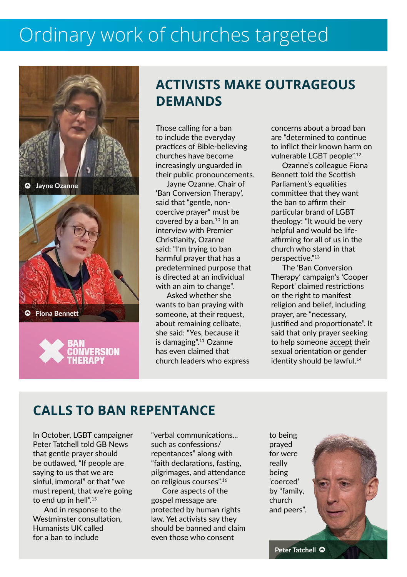# Ordinary work of churches targeted



### **ACTIVISTS MAKE OUTRAGEOUS DEMANDS**

Those calling for a ban to include the everyday practices of Bible-believing churches have become increasingly unguarded in their public pronouncements.

Jayne Ozanne, Chair of 'Ban Conversion Therapy', said that "gentle, noncoercive prayer" must be covered by a ban.10 In an interview with Premier Christianity, Ozanne said: "I'm trying to ban harmful prayer that has a predetermined purpose that is directed at an individual with an aim to change".

Asked whether she wants to ban praying with someone, at their request, about remaining celibate, she said: "Yes, because it is damaging".11 Ozanne has even claimed that church leaders who express concerns about a broad ban are "determined to continue to inflict their known harm on vulnerable LGBT people".<sup>12</sup>

Ozanne's colleague Fiona Bennett told the Scottish Parliament's equalities committee that they want the ban to affirm their particular brand of LGBT theology: "It would be very helpful and would be lifeaffirming for all of us in the church who stand in that perspective<sup>"13</sup>

The 'Ban Conversion Therapy' campaign's 'Cooper Report' claimed restrictions on the right to manifest religion and belief, including prayer, are "necessary, justified and proportionate". It said that only prayer seeking to help someone accept their sexual orientation or gender identity should be lawful.<sup>14</sup>

### **CALLS TO BAN REPENTANCE**

In October, LGBT campaigner Peter Tatchell told GB News that gentle prayer should be outlawed, "If people are saying to us that we are sinful, immoral" or that "we must repent, that we're going to end up in hell".15

And in response to the Westminster consultation, Humanists UK called for a ban to include

"verbal communications... such as confessions/ repentances" along with "faith declarations, fasting, pilgrimages, and attendance on religious courses".16

Core aspects of the gospel message are protected by human rights law. Yet activists say they should be banned and claim even those who consent

to being prayed for were really being 'coerced' by "family, church and peers".

Peter Tatchell @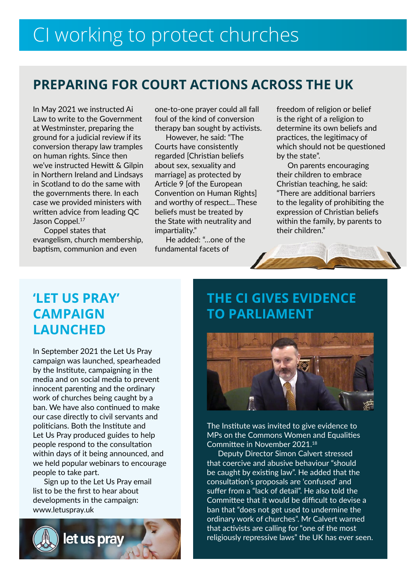### **PREPARING FOR COURT ACTIONS ACROSS THE UK**

In May 2021 we instructed Ai Law to write to the Government at Westminster, preparing the ground for a judicial review if its conversion therapy law tramples on human rights. Since then we've instructed Hewitt & Gilpin in Northern Ireland and Lindsays in Scotland to do the same with the governments there. In each case we provided ministers with written advice from leading QC Jason Coppel.<sup>17</sup>

Coppel states that evangelism, church membership, baptism, communion and even

one-to-one prayer could all fall foul of the kind of conversion therapy ban sought by activists.

However, he said: "The Courts have consistently regarded [Christian beliefs about sex, sexuality and marriage] as protected by Article 9 [of the European Convention on Human Rights] and worthy of respect… These beliefs must be treated by the State with neutrality and impartiality."

He added: "…one of the fundamental facets of

freedom of religion or belief is the right of a religion to determine its own beliefs and practices, the legitimacy of which should not be questioned by the state".

On parents encouraging their children to embrace Christian teaching, he said: "There are additional barriers to the legality of prohibiting the expression of Christian beliefs within the family, by parents to their children."



### **'LET US PRAY' CAMPAIGN LAUNCHED**

In September 2021 the Let Us Pray campaign was launched, spearheaded by the Institute, campaigning in the media and on social media to prevent innocent parenting and the ordinary work of churches being caught by a ban. We have also continued to make our case directly to civil servants and politicians. Both the Institute and Let Us Pray produced guides to help people respond to the consultation within days of it being announced, and we held popular webinars to encourage people to take part.

Sign up to the Let Us Pray email list to be the first to hear about developments in the campaign: www.letuspray.uk



### **THE CI GIVES EVIDENCE TO PARLIAMENT**



The Institute was invited to give evidence to MPs on the Commons Women and Equalities Committee in November 2021.<sup>18</sup>

Deputy Director Simon Calvert stressed that coercive and abusive behaviour "should be caught by existing law". He added that the consultation's proposals are 'confused' and suffer from a "lack of detail". He also told the Committee that it would be difficult to devise a ban that "does not get used to undermine the ordinary work of churches". Mr Calvert warned that activists are calling for "one of the most religiously repressive laws" the UK has ever seen.